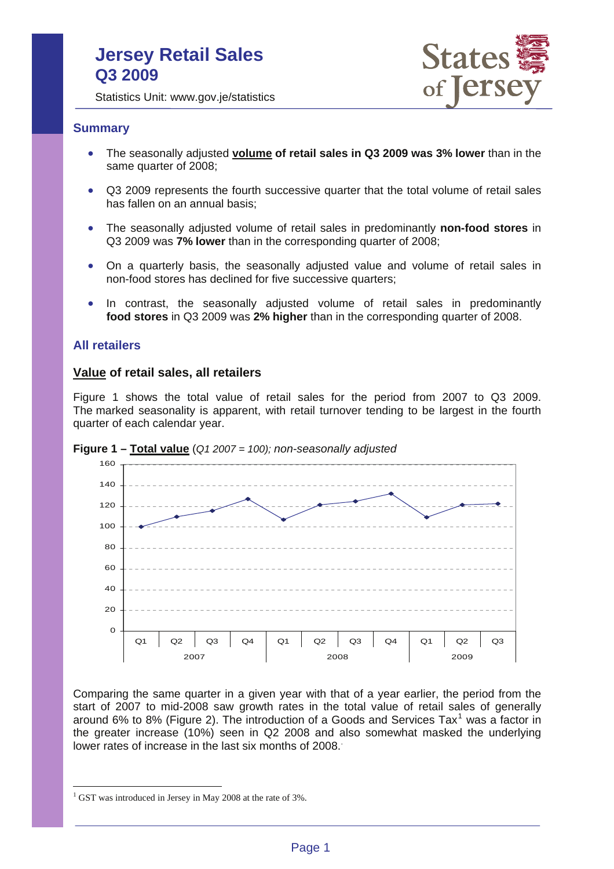# **Jersey Retail Sales Q3 2009**



Statistics Unit: www.gov.je/statistics

#### **Summary**

- The seasonally adjusted **volume of retail sales in Q3 2009 was 3% lower** than in the same quarter of 2008;
- Q3 2009 represents the fourth successive quarter that the total volume of retail sales has fallen on an annual basis;
- The seasonally adjusted volume of retail sales in predominantly **non-food stores** in Q3 2009 was **7% lower** than in the corresponding quarter of 2008;
- On a quarterly basis, the seasonally adjusted value and volume of retail sales in non-food stores has declined for five successive quarters;
- In contrast, the seasonally adjusted volume of retail sales in predominantly **food stores** in Q3 2009 was **2% higher** than in the corresponding quarter of 2008.

#### **All retailers**

#### **Value of retail sales, all retailers**

Figure 1 shows the total value of retail sales for the period from 2007 to Q3 2009. The marked seasonality is apparent, with retail turnover tending to be largest in the fourth quarter of each calendar year.





Comparing the same quarter in a given year with that of a year earlier, the period from the start of 2007 to mid-2008 saw growth rates in the total value of retail sales of generally around 6% to 8% (Figure 2). The introduction of a Goods and Services Tax<sup>1</sup> was a factor in the greater increase (10%) seen in Q2 2008 and also somewhat masked the underlying lower rates of increase in the last six months of 2008..

 $\overline{a}$ 

 $1$  GST was introduced in Jersey in May 2008 at the rate of 3%.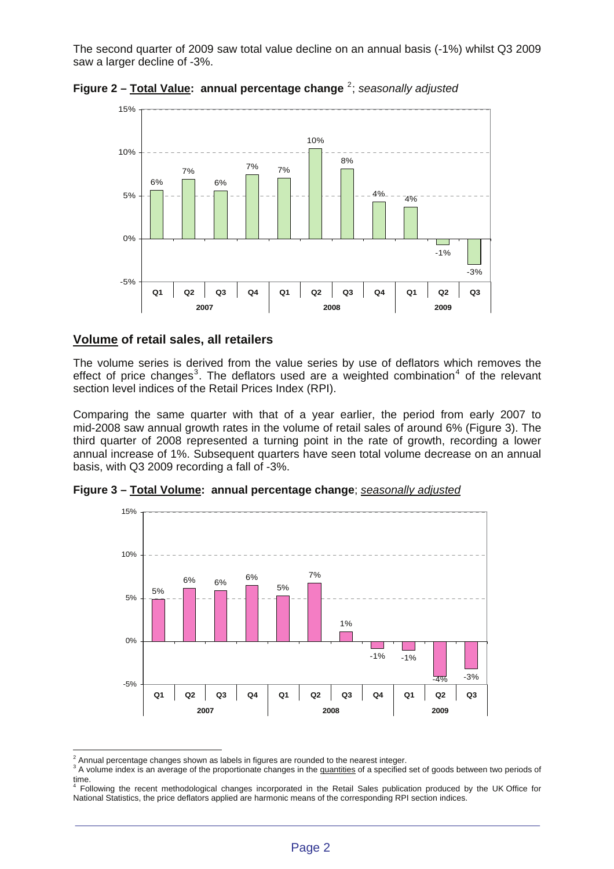The second quarter of 2009 saw total value decline on an annual basis (-1%) whilst Q3 2009 saw a larger decline of -3%.



**Figure 2 – Total Value: annual percentage change** <sup>2</sup> ; *seasonally adjusted* 

### **Volume of retail sales, all retailers**

The volume series is derived from the value series by use of deflators which removes the effect of price changes<sup>3</sup>. The deflators used are a weighted combination<sup>4</sup> of the relevant section level indices of the Retail Prices Index (RPI).

Comparing the same quarter with that of a year earlier, the period from early 2007 to mid-2008 saw annual growth rates in the volume of retail sales of around 6% (Figure 3). The third quarter of 2008 represented a turning point in the rate of growth, recording a lower annual increase of 1%. Subsequent quarters have seen total volume decrease on an annual basis, with Q3 2009 recording a fall of -3%.



**Figure 3 – Total Volume: annual percentage change**; *seasonally adjusted*

 $\overline{a}$  $^2$  Annual percentage changes shown as labels in figures are rounded to the nearest integer.<br>3. A volume index is an overage of the prepartiented changes in the quantities of a apositiod

A volume index is an average of the proportionate changes in the quantities of a specified set of goods between two periods of

time. 4 Following the recent methodological changes incorporated in the Retail Sales publication produced by the UK Office for National Statistics, the price deflators applied are harmonic means of the corresponding RPI section indices.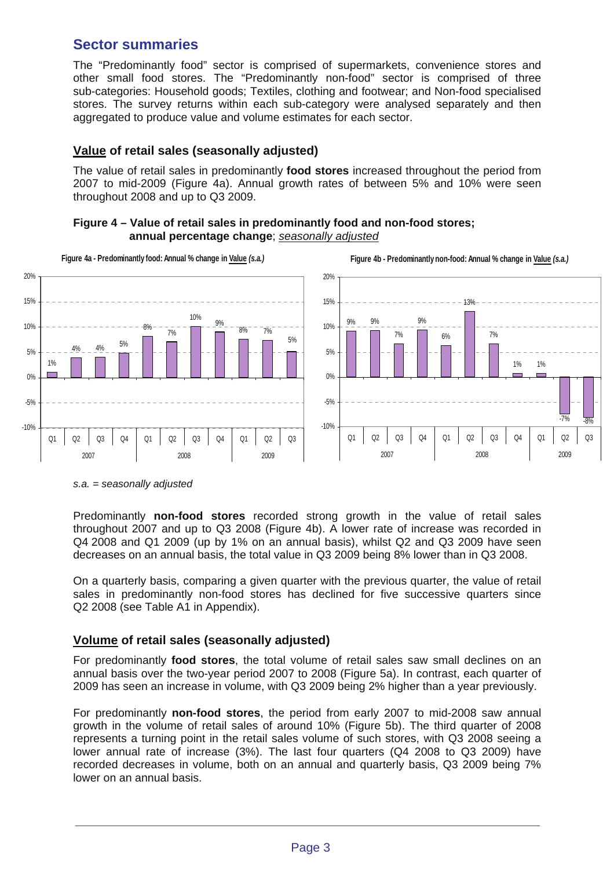# **Sector summaries**

The "Predominantly food" sector is comprised of supermarkets, convenience stores and other small food stores. The "Predominantly non-food" sector is comprised of three sub-categories: Household goods; Textiles, clothing and footwear; and Non-food specialised stores. The survey returns within each sub-category were analysed separately and then aggregated to produce value and volume estimates for each sector.

## **Value of retail sales (seasonally adjusted)**

The value of retail sales in predominantly **food stores** increased throughout the period from 2007 to mid-2009 (Figure 4a). Annual growth rates of between 5% and 10% were seen throughout 2008 and up to Q3 2009.





*s.a. = seasonally adjusted* 

Predominantly **non-food stores** recorded strong growth in the value of retail sales throughout 2007 and up to Q3 2008 (Figure 4b). A lower rate of increase was recorded in Q4 2008 and Q1 2009 (up by 1% on an annual basis), whilst Q2 and Q3 2009 have seen decreases on an annual basis, the total value in Q3 2009 being 8% lower than in Q3 2008.

On a quarterly basis, comparing a given quarter with the previous quarter, the value of retail sales in predominantly non-food stores has declined for five successive quarters since Q2 2008 (see Table A1 in Appendix).

## **Volume of retail sales (seasonally adjusted)**

For predominantly **food stores**, the total volume of retail sales saw small declines on an annual basis over the two-year period 2007 to 2008 (Figure 5a). In contrast, each quarter of 2009 has seen an increase in volume, with Q3 2009 being 2% higher than a year previously.

For predominantly **non-food stores**, the period from early 2007 to mid-2008 saw annual growth in the volume of retail sales of around 10% (Figure 5b). The third quarter of 2008 represents a turning point in the retail sales volume of such stores, with Q3 2008 seeing a lower annual rate of increase (3%). The last four quarters (Q4 2008 to Q3 2009) have recorded decreases in volume, both on an annual and quarterly basis, Q3 2009 being 7% lower on an annual basis.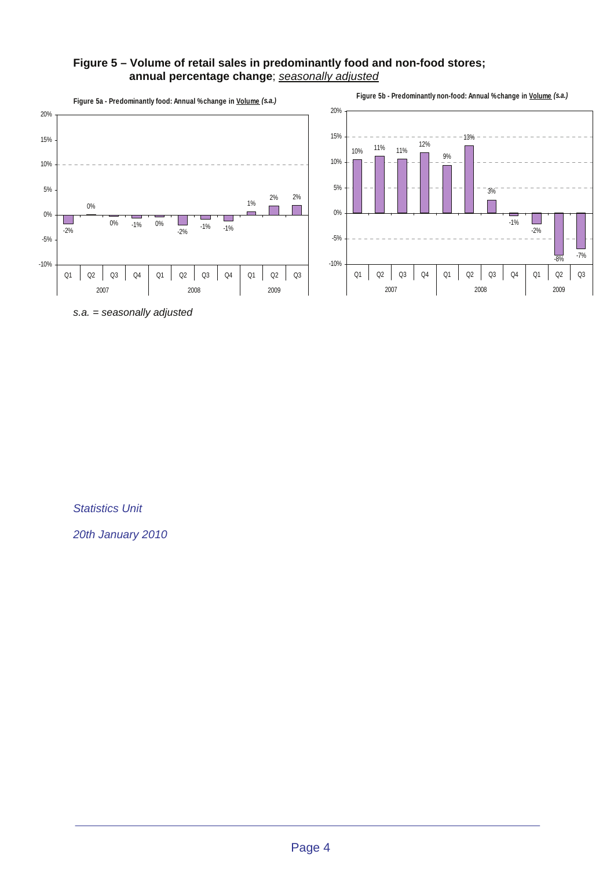#### **Figure 5 – Volume of retail sales in predominantly food and non-food stores; annual percentage change**; *seasonally adjusted*



*s.a. = seasonally adjusted* 

*Statistics Unit* 

*20th January 2010*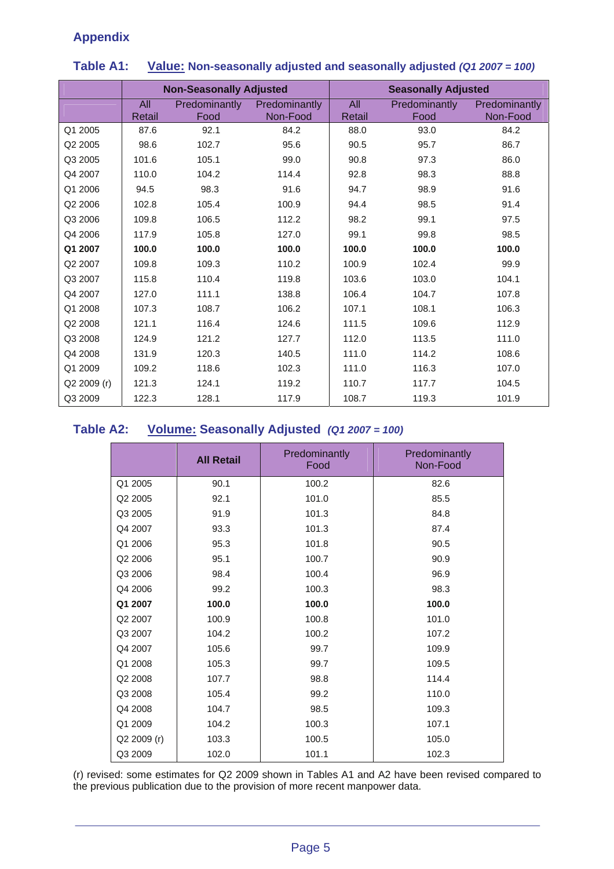## **Appendix**

|             | <b>Non-Seasonally Adjusted</b> |                       |                           | <b>Seasonally Adjusted</b> |                       |                           |
|-------------|--------------------------------|-----------------------|---------------------------|----------------------------|-----------------------|---------------------------|
|             | All<br>Retail                  | Predominantly<br>Food | Predominantly<br>Non-Food | All<br>Retail              | Predominantly<br>Food | Predominantly<br>Non-Food |
| Q1 2005     | 87.6                           | 92.1                  | 84.2                      | 88.0                       | 93.0                  | 84.2                      |
| Q2 2005     | 98.6                           | 102.7                 | 95.6                      | 90.5                       | 95.7                  | 86.7                      |
| Q3 2005     | 101.6                          | 105.1                 | 99.0                      | 90.8                       | 97.3                  | 86.0                      |
| Q4 2007     | 110.0                          | 104.2                 | 114.4                     | 92.8                       | 98.3                  | 88.8                      |
| Q1 2006     | 94.5                           | 98.3                  | 91.6                      | 94.7                       | 98.9                  | 91.6                      |
| Q2 2006     | 102.8                          | 105.4                 | 100.9                     | 94.4                       | 98.5                  | 91.4                      |
| Q3 2006     | 109.8                          | 106.5                 | 112.2                     | 98.2                       | 99.1                  | 97.5                      |
| Q4 2006     | 117.9                          | 105.8                 | 127.0                     | 99.1                       | 99.8                  | 98.5                      |
| Q1 2007     | 100.0                          | 100.0                 | 100.0                     | 100.0                      | 100.0                 | 100.0                     |
| Q2 2007     | 109.8                          | 109.3                 | 110.2                     | 100.9                      | 102.4                 | 99.9                      |
| Q3 2007     | 115.8                          | 110.4                 | 119.8                     | 103.6                      | 103.0                 | 104.1                     |
| Q4 2007     | 127.0                          | 111.1                 | 138.8                     | 106.4                      | 104.7                 | 107.8                     |
| Q1 2008     | 107.3                          | 108.7                 | 106.2                     | 107.1                      | 108.1                 | 106.3                     |
| Q2 2008     | 121.1                          | 116.4                 | 124.6                     | 111.5                      | 109.6                 | 112.9                     |
| Q3 2008     | 124.9                          | 121.2                 | 127.7                     | 112.0                      | 113.5                 | 111.0                     |
| Q4 2008     | 131.9                          | 120.3                 | 140.5                     | 111.0                      | 114.2                 | 108.6                     |
| Q1 2009     | 109.2                          | 118.6                 | 102.3                     | 111.0                      | 116.3                 | 107.0                     |
| Q2 2009 (r) | 121.3                          | 124.1                 | 119.2                     | 110.7                      | 117.7                 | 104.5                     |
| Q3 2009     | 122.3                          | 128.1                 | 117.9                     | 108.7                      | 119.3                 | 101.9                     |

## **Table A1: Value: Non-seasonally adjusted and seasonally adjusted** *(Q1 2007 = 100)*

## **Table A2: Volume: Seasonally Adjusted** *(Q1 2007 = 100)*

|             | <b>All Retail</b> | Predominantly<br>Food | Predominantly<br>Non-Food |
|-------------|-------------------|-----------------------|---------------------------|
| Q1 2005     | 90.1              | 100.2                 | 82.6                      |
| Q2 2005     | 92.1              | 101.0                 | 85.5                      |
| Q3 2005     | 91.9              | 101.3                 | 84.8                      |
| Q4 2007     | 93.3              | 101.3                 | 87.4                      |
| Q1 2006     | 95.3              | 101.8                 | 90.5                      |
| Q2 2006     | 95.1              | 100.7                 | 90.9                      |
| Q3 2006     | 98.4              | 100.4                 | 96.9                      |
| Q4 2006     | 99.2              | 100.3                 | 98.3                      |
| Q1 2007     | 100.0             | 100.0                 | 100.0                     |
| Q2 2007     | 100.9             | 100.8                 | 101.0                     |
| Q3 2007     | 104.2             | 100.2                 | 107.2                     |
| Q4 2007     | 105.6             | 99.7                  | 109.9                     |
| Q1 2008     | 105.3             | 99.7                  | 109.5                     |
| Q2 2008     | 107.7             | 98.8                  | 114.4                     |
| Q3 2008     | 105.4             | 99.2                  | 110.0                     |
| Q4 2008     | 104.7             | 98.5                  | 109.3                     |
| Q1 2009     | 104.2             | 100.3                 | 107.1                     |
| Q2 2009 (r) | 103.3             | 100.5                 | 105.0                     |
| Q3 2009     | 102.0             | 101.1                 | 102.3                     |

(r) revised: some estimates for Q2 2009 shown in Tables A1 and A2 have been revised compared to the previous publication due to the provision of more recent manpower data.